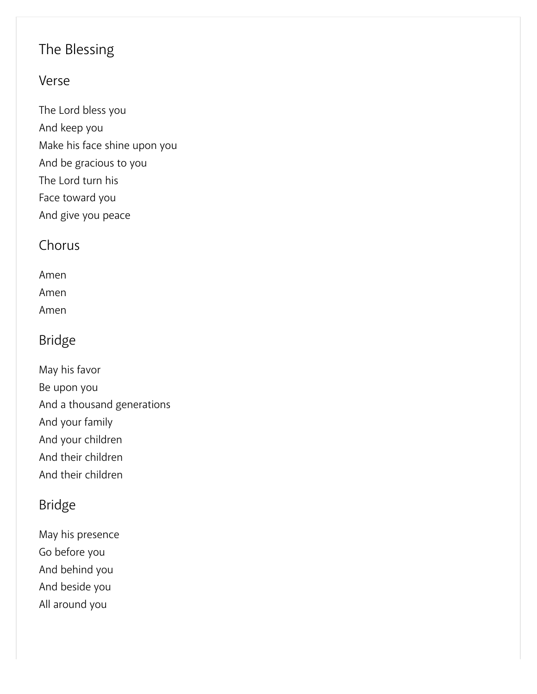# The Blessing

### Verse

The Lord bless you And keep you Make his face shine upon you And be gracious to you The Lord turn his Face toward you And give you peace

### Chorus

Amen

Amen

Amen

## Bridge

May his favor Be upon you And a thousand generations And your family And your children And their children And their children

## Bridge

May his presence Go before you And behind you And beside you All around you